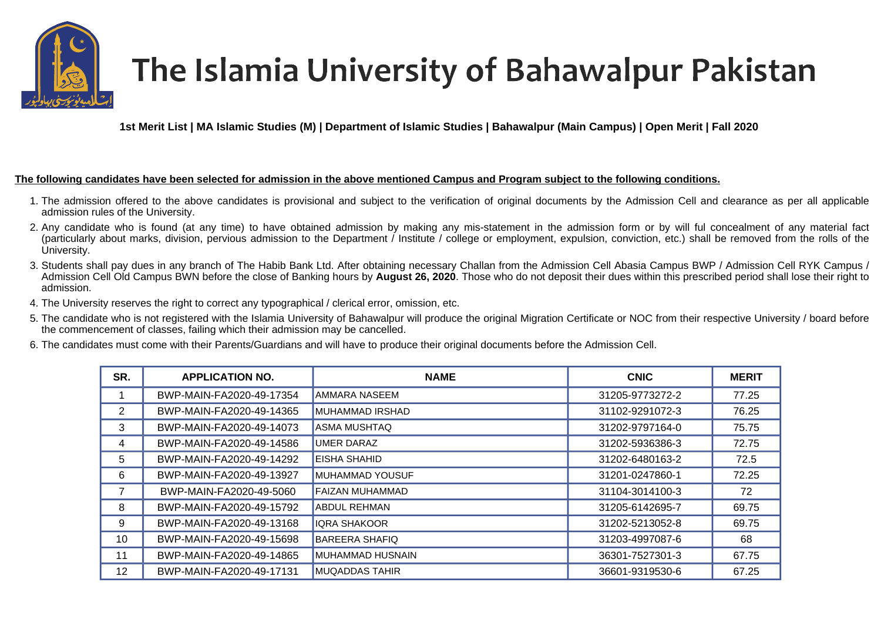

## The Islamia University of Bahawalpur Pakistan

**1st Merit List | MA Islamic Studies (M) | Department of Islamic Studies | Bahawalpur (Main Campus) | Open Merit | Fall 2020** 

## **The following candidates have been selected for admission in the above mentioned Campus and Program subject to the following conditions.**

- 1. The admission offered to the above candidates is provisional and subject to the verification of original documents by the Admission Cell and clearance as per all applicable admission rules of the University.
- 2. Any candidate who is found (at any time) to have obtained admission by making any mis-statement in the admission form or by will ful concealment of any material fact (particularly about marks, division, pervious admission to the Department / Institute / college or employment, expulsion, conviction, etc.) shall be removed from the rolls of the University.
- 3. Students shall pay dues in any branch of The Habib Bank Ltd. After obtaining necessary Challan from the Admission Cell Abasia Campus BWP / Admission Cell RYK Campus / Admission Cell Old Campus BWN before the close of Banking hours by **August 26, 2020**. Those who do not deposit their dues within this prescribed period shall lose their right to admission.
- 4. The University reserves the right to correct any typographical / clerical error, omission, etc.
- 5. The candidate who is not registered with the Islamia University of Bahawalpur will produce the original Migration Certificate or NOC from their respective University / board before the commencement of classes, failing which their admission may be cancelled.
- 6. The candidates must come with their Parents/Guardians and will have to produce their original documents before the Admission Cell.

| SR. | <b>APPLICATION NO.</b>   | <b>NAME</b>            | <b>CNIC</b>     | <b>MERIT</b> |
|-----|--------------------------|------------------------|-----------------|--------------|
|     | BWP-MAIN-FA2020-49-17354 | AMMARA NASEEM          | 31205-9773272-2 | 77.25        |
| 2   | BWP-MAIN-FA2020-49-14365 | MUHAMMAD IRSHAD        | 31102-9291072-3 | 76.25        |
| 3   | BWP-MAIN-FA2020-49-14073 | ASMA MUSHTAQ           | 31202-9797164-0 | 75.75        |
| 4   | BWP-MAIN-FA2020-49-14586 | <b>UMER DARAZ</b>      | 31202-5936386-3 | 72.75        |
| 5   | BWP-MAIN-FA2020-49-14292 | EISHA SHAHID           | 31202-6480163-2 | 72.5         |
| 6   | BWP-MAIN-FA2020-49-13927 | <b>MUHAMMAD YOUSUF</b> | 31201-0247860-1 | 72.25        |
|     | BWP-MAIN-FA2020-49-5060  | FAIZAN MUHAMMAD        | 31104-3014100-3 | 72           |
| 8   | BWP-MAIN-FA2020-49-15792 | ABDUL REHMAN           | 31205-6142695-7 | 69.75        |
| 9   | BWP-MAIN-FA2020-49-13168 | <b>IQRA SHAKOOR</b>    | 31202-5213052-8 | 69.75        |
| 10  | BWP-MAIN-FA2020-49-15698 | <b>BAREERA SHAFIQ</b>  | 31203-4997087-6 | 68           |
| 11  | BWP-MAIN-FA2020-49-14865 | MUHAMMAD HUSNAIN       | 36301-7527301-3 | 67.75        |
| 12  | BWP-MAIN-FA2020-49-17131 | <b>MUQADDAS TAHIR</b>  | 36601-9319530-6 | 67.25        |